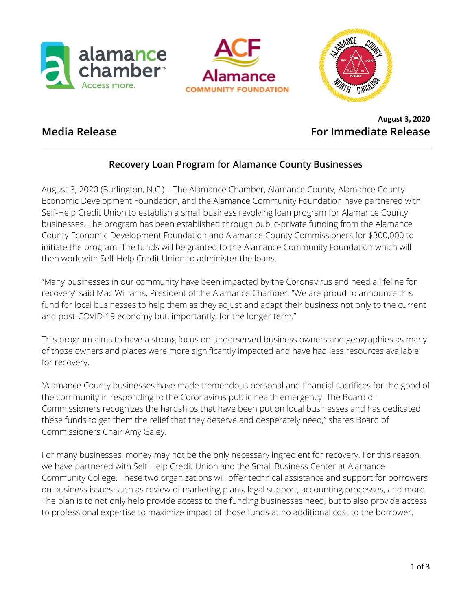





# **August 3, 2020 Media Release For Immediate Release**

# **Recovery Loan Program for Alamance County Businesses**

August 3, 2020 (Burlington, N.C.) – The Alamance Chamber, Alamance County, Alamance County Economic Development Foundation, and the Alamance Community Foundation have partnered with Self-Help Credit Union to establish a small business revolving loan program for Alamance County businesses. The program has been established through public-private funding from the Alamance County Economic Development Foundation and Alamance County Commissioners for \$300,000 to initiate the program. The funds will be granted to the Alamance Community Foundation which will then work with Self-Help Credit Union to administer the loans.

"Many businesses in our community have been impacted by the Coronavirus and need a lifeline for recovery" said Mac Williams, President of the Alamance Chamber. "We are proud to announce this fund for local businesses to help them as they adjust and adapt their business not only to the current and post-COVID-19 economy but, importantly, for the longer term."

This program aims to have a strong focus on underserved business owners and geographies as many of those owners and places were more significantly impacted and have had less resources available for recovery.

"Alamance County businesses have made tremendous personal and financial sacrifices for the good of the community in responding to the Coronavirus public health emergency. The Board of Commissioners recognizes the hardships that have been put on local businesses and has dedicated these funds to get them the relief that they deserve and desperately need," shares Board of Commissioners Chair Amy Galey.

For many businesses, money may not be the only necessary ingredient for recovery. For this reason, we have partnered with Self-Help Credit Union and the Small Business Center at Alamance Community College. These two organizations will offer technical assistance and support for borrowers on business issues such as review of marketing plans, legal support, accounting processes, and more. The plan is to not only help provide access to the funding businesses need, but to also provide access to professional expertise to maximize impact of those funds at no additional cost to the borrower.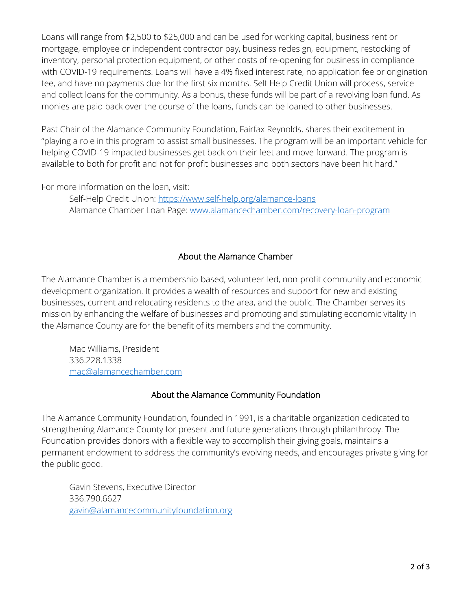Loans will range from \$2,500 to \$25,000 and can be used for working capital, business rent or mortgage, employee or independent contractor pay, business redesign, equipment, restocking of inventory, personal protection equipment, or other costs of re-opening for business in compliance with COVID-19 requirements. Loans will have a 4% fixed interest rate, no application fee or origination fee, and have no payments due for the first six months. Self Help Credit Union will process, service and collect loans for the community. As a bonus, these funds will be part of a revolving loan fund. As monies are paid back over the course of the loans, funds can be loaned to other businesses.

Past Chair of the Alamance Community Foundation, Fairfax Reynolds, shares their excitement in "playing a role in this program to assist small businesses. The program will be an important vehicle for helping COVID-19 impacted businesses get back on their feet and move forward. The program is available to both for profit and not for profit businesses and both sectors have been hit hard."

For more information on the loan, visit:

Self-Help Credit Union: [https://www.self-help.org/alamance-loans](https://nam04.safelinks.protection.outlook.com/?url=https%3A%2F%2Fwww.self-help.org%2Falamance-loans&data=02%7C01%7Candrea%40alamancechamber.com%7C9a3ba6ac625f4fa9eeb608d834bda2bb%7C4c26578600a148d882897cdf859085f8%7C0%7C0%7C637317336378628913&sdata=LsQgKknfInvh8%2BtUR36tyqiaqw%2BdxBQ6KEFhHrZQUec%3D&reserved=0) Alamance Chamber Loan Page: [www.alamancechamber.com/recovery-loan-program](http://www.alamancechamber.com/recovery-loan-program)

### About the Alamance Chamber

The Alamance Chamber is a membership-based, volunteer-led, non-profit community and economic development organization. It provides a wealth of resources and support for new and existing businesses, current and relocating residents to the area, and the public. The Chamber serves its mission by enhancing the welfare of businesses and promoting and stimulating economic vitality in the Alamance County are for the benefit of its members and the community.

Mac Williams, President 336.228.1338 [mac@alamancechamber.com](mailto:mac@alamancechamber.com)

## About the Alamance Community Foundation

The Alamance Community Foundation, founded in 1991, is a charitable organization dedicated to strengthening Alamance County for present and future generations through philanthropy. The Foundation provides donors with a flexible way to accomplish their giving goals, maintains a permanent endowment to address the community's evolving needs, and encourages private giving for the public good.

Gavin Stevens, Executive Director 336.790.6627 [gavin@alamancecommunityfoundation.org](mailto:gavin@alamancecommunityfoundation.org)